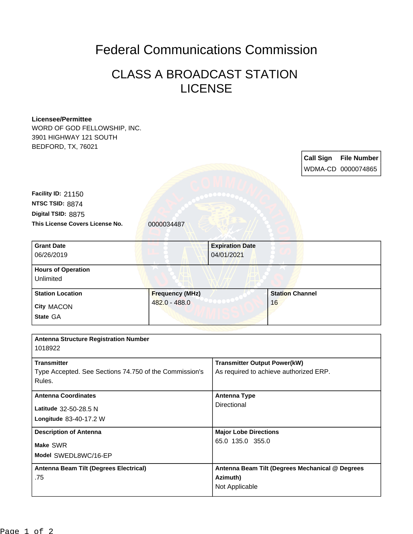## Federal Communications Commission

## CLASS A BROADCAST STATION LICENSE

## **Licensee/Permittee**

WORD OF GOD FELLOWSHIP, INC. 3901 HIGHWAY 121 SOUTH BEDFORD, TX, 76021

> **Call Sign File Number** WDMA-CD 0000074865

**This License Covers License No.** 0000034487 **Digital TSID:** 8875 **NTSC TSID:** 8874 **Facility ID:** 21150

| <b>Grant Date</b>                      | <b>Expiration Date</b> |                        |  |
|----------------------------------------|------------------------|------------------------|--|
| 06/26/2019                             | 04/01/2021             |                        |  |
| <b>Hours of Operation</b><br>Unlimited |                        |                        |  |
| <b>Station Location</b>                | <b>Frequency (MHz)</b> | <b>Station Channel</b> |  |
| <b>City MACON</b><br>State GA          | 482.0 - 488.0          | 16                     |  |

| <b>Antenna Structure Registration Number</b><br>1018922                                |                                                                               |  |  |
|----------------------------------------------------------------------------------------|-------------------------------------------------------------------------------|--|--|
| <b>Transmitter</b><br>Type Accepted. See Sections 74.750 of the Commission's<br>Rules. | <b>Transmitter Output Power(kW)</b><br>As required to achieve authorized ERP. |  |  |
| <b>Antenna Coordinates</b><br>Latitude 32-50-28.5 N<br>Longitude 83-40-17.2 W          | Antenna Type<br>Directional                                                   |  |  |
| <b>Description of Antenna</b><br>Make SWR<br>Model SWEDL8WC/16-EP                      | <b>Major Lobe Directions</b><br>65.0 135.0 355.0                              |  |  |
| Antenna Beam Tilt (Degrees Electrical)<br>.75                                          | Antenna Beam Tilt (Degrees Mechanical @ Degrees<br>Azimuth)<br>Not Applicable |  |  |